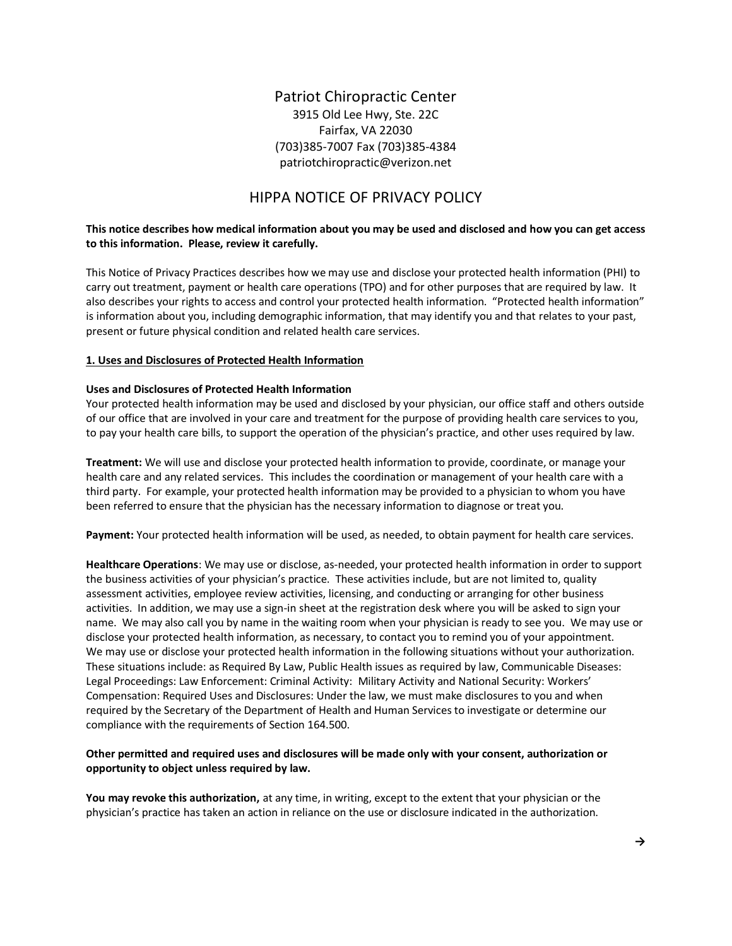# Patriot Chiropractic Center

3915 Old Lee Hwy, Ste. 22C Fairfax, VA 22030 (703)385-7007 Fax (703)385-4384 patriotchiropractic@verizon.net

# HIPPA NOTICE OF PRIVACY POLICY

# **This notice describes how medical information about you may be used and disclosed and how you can get access to this information. Please, review it carefully.**

This Notice of Privacy Practices describes how we may use and disclose your protected health information (PHI) to carry out treatment, payment or health care operations (TPO) and for other purposes that are required by law. It also describes your rights to access and control your protected health information. "Protected health information" is information about you, including demographic information, that may identify you and that relates to your past, present or future physical condition and related health care services.

# **1. Uses and Disclosures of Protected Health Information**

#### **Uses and Disclosures of Protected Health Information**

Your protected health information may be used and disclosed by your physician, our office staff and others outside of our office that are involved in your care and treatment for the purpose of providing health care services to you, to pay your health care bills, to support the operation of the physician's practice, and other uses required by law.

**Treatment:** We will use and disclose your protected health information to provide, coordinate, or manage your health care and any related services. This includes the coordination or management of your health care with a third party. For example, your protected health information may be provided to a physician to whom you have been referred to ensure that the physician has the necessary information to diagnose or treat you.

**Payment:** Your protected health information will be used, as needed, to obtain payment for health care services.

**Healthcare Operations**: We may use or disclose, as-needed, your protected health information in order to support the business activities of your physician's practice. These activities include, but are not limited to, quality assessment activities, employee review activities, licensing, and conducting or arranging for other business activities. In addition, we may use a sign-in sheet at the registration desk where you will be asked to sign your name. We may also call you by name in the waiting room when your physician is ready to see you. We may use or disclose your protected health information, as necessary, to contact you to remind you of your appointment. We may use or disclose your protected health information in the following situations without your authorization. These situations include: as Required By Law, Public Health issues as required by law, Communicable Diseases: Legal Proceedings: Law Enforcement: Criminal Activity: Military Activity and National Security: Workers' Compensation: Required Uses and Disclosures: Under the law, we must make disclosures to you and when required by the Secretary of the Department of Health and Human Services to investigate or determine our compliance with the requirements of Section 164.500.

# **Other permitted and required uses and disclosures will be made only with your consent, authorization or opportunity to object unless required by law.**

**You may revoke this authorization,** at any time, in writing, except to the extent that your physician or the physician's practice has taken an action in reliance on the use or disclosure indicated in the authorization.